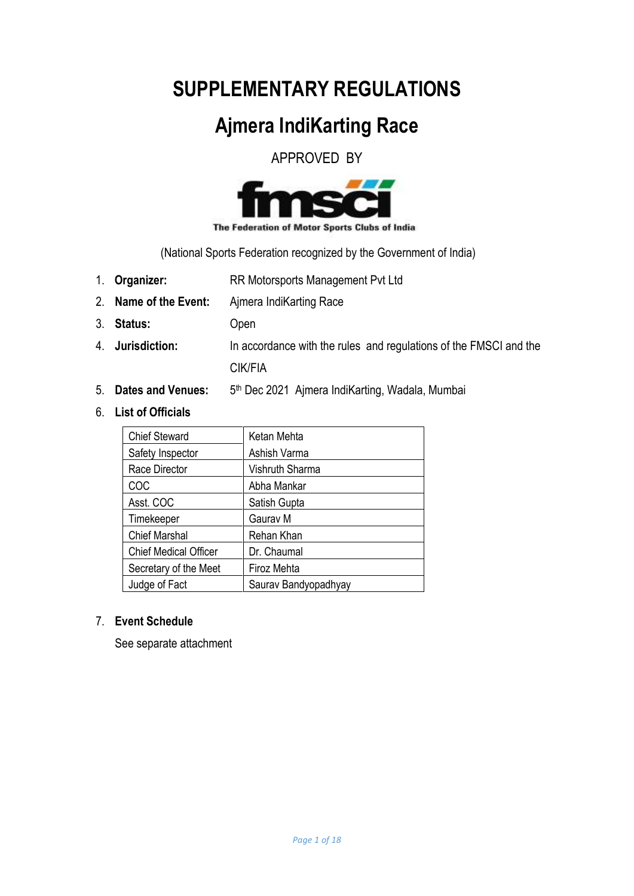# **SUPPLEMENTARY REGULATIONS**

# **Ajmera IndiKarting Race**

APPROVED BY



The Federation of Motor Sports Clubs of India

(National Sports Federation recognized by the Government of India)

- 1. **Organizer:** RR Motorsports Management Pvt Ltd
- 2. **Name of the Event:** Ajmera IndiKarting Race
- 3. **Status:** Open
- 4. **Jurisdiction:** In accordance with the rules and regulations of the FMSCI and the

CIK/FIA

- 5. **Dates and Venues:** 5 5<sup>th</sup> Dec 2021 Ajmera IndiKarting, Wadala, Mumbai
- 6. **List of Officials**

| <b>Chief Steward</b>         | Ketan Mehta          |
|------------------------------|----------------------|
| Safety Inspector             | Ashish Varma         |
| Race Director                | Vishruth Sharma      |
| COC                          | Abha Mankar          |
| Asst. COC                    | Satish Gupta         |
| Timekeeper                   | Gaurav M             |
| <b>Chief Marshal</b>         | Rehan Khan           |
| <b>Chief Medical Officer</b> | Dr. Chaumal          |
| Secretary of the Meet        | Firoz Mehta          |
| Judge of Fact                | Saurav Bandyopadhyay |

## 7. **Event Schedule**

See separate attachment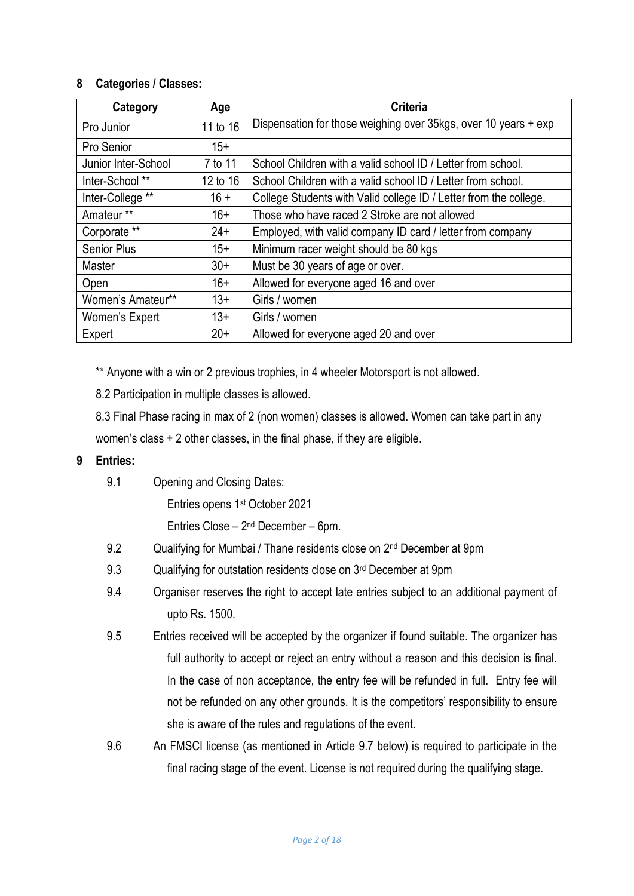## **8 Categories / Classes:**

| Category            | Age      | <b>Criteria</b>                                                   |  |  |
|---------------------|----------|-------------------------------------------------------------------|--|--|
| Pro Junior          | 11 to 16 | Dispensation for those weighing over 35kgs, over 10 years + exp   |  |  |
| Pro Senior          | $15+$    |                                                                   |  |  |
| Junior Inter-School | 7 to 11  | School Children with a valid school ID / Letter from school.      |  |  |
| Inter-School **     | 12 to 16 | School Children with a valid school ID / Letter from school.      |  |  |
| Inter-College **    | $16 +$   | College Students with Valid college ID / Letter from the college. |  |  |
| Amateur **          | $16+$    | Those who have raced 2 Stroke are not allowed                     |  |  |
| Corporate **        | $24+$    | Employed, with valid company ID card / letter from company        |  |  |
| <b>Senior Plus</b>  | $15+$    | Minimum racer weight should be 80 kgs                             |  |  |
| <b>Master</b>       | $30+$    | Must be 30 years of age or over.                                  |  |  |
| Open                | $16+$    | Allowed for everyone aged 16 and over                             |  |  |
| Women's Amateur**   | $13+$    | Girls / women                                                     |  |  |
| Women's Expert      | $13+$    | Girls / women                                                     |  |  |
| Expert              | $20+$    | Allowed for everyone aged 20 and over                             |  |  |

\*\* Anyone with a win or 2 previous trophies, in 4 wheeler Motorsport is not allowed.

8.2 Participation in multiple classes is allowed.

8.3 Final Phase racing in max of 2 (non women) classes is allowed. Women can take part in any women's class + 2 other classes, in the final phase, if they are eligible.

## **9 Entries:**

9.1 Opening and Closing Dates:

Entries opens 1<sup>st</sup> October 2021

Entries Close  $-2<sup>nd</sup>$  December  $-6$ pm.

- 9.2 Qualifying for Mumbai / Thane residents close on 2<sup>nd</sup> December at 9pm
- 9.3 Qualifying for outstation residents close on 3<sup>rd</sup> December at 9pm
- 9.4 Organiser reserves the right to accept late entries subject to an additional payment of upto Rs. 1500.
- 9.5 Entries received will be accepted by the organizer if found suitable. The organizer has full authority to accept or reject an entry without a reason and this decision is final. In the case of non acceptance, the entry fee will be refunded in full. Entry fee will not be refunded on any other grounds. It is the competitors' responsibility to ensure she is aware of the rules and regulations of the event.
- 9.6 An FMSCI license (as mentioned in Article 9.7 below) is required to participate in the final racing stage of the event. License is not required during the qualifying stage.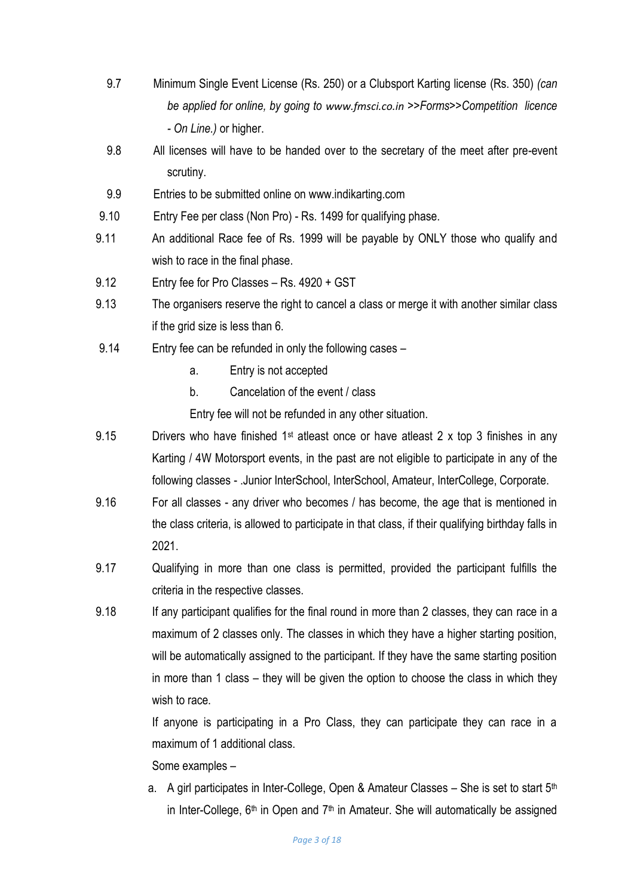- 9.7 Minimum Single Event License (Rs. 250) or a Clubsport Karting license (Rs. 350) *(can be applied for online, by going to [www.fmsci.co.in](http://www.fmsci.co.in/) >>Forms>>Competition licence - On Line.)* or higher.
- 9.8 All licenses will have to be handed over to the secretary of the meet after pre-event scrutiny.
- 9.9 Entries to be submitted online on www.indikarting.com
- 9.10 Entry Fee per class (Non Pro) Rs. 1499 for qualifying phase.
- 9.11 An additional Race fee of Rs. 1999 will be payable by ONLY those who qualify and wish to race in the final phase.
- 9.12 Entry fee for Pro Classes Rs. 4920 + GST
- 9.13 The organisers reserve the right to cancel a class or merge it with another similar class if the grid size is less than 6.
- 9.14 Entry fee can be refunded in only the following cases
	- a. Entry is not accepted
	- b. Cancelation of the event / class

Entry fee will not be refunded in any other situation.

- 9.15 Drivers who have finished 1<sup>st</sup> atleast once or have atleast 2 x top 3 finishes in any Karting / 4W Motorsport events, in the past are not eligible to participate in any of the following classes - .Junior InterSchool, InterSchool, Amateur, InterCollege, Corporate.
- 9.16 For all classes any driver who becomes / has become, the age that is mentioned in the class criteria, is allowed to participate in that class, if their qualifying birthday falls in 2021.
- 9.17 Qualifying in more than one class is permitted, provided the participant fulfills the criteria in the respective classes.
- 9.18 If any participant qualifies for the final round in more than 2 classes, they can race in a maximum of 2 classes only. The classes in which they have a higher starting position, will be automatically assigned to the participant. If they have the same starting position in more than 1 class – they will be given the option to choose the class in which they wish to race.

If anyone is participating in a Pro Class, they can participate they can race in a maximum of 1 additional class.

Some examples –

a. A girl participates in Inter-College, Open & Amateur Classes – She is set to start  $5<sup>th</sup>$ in Inter-College,  $6<sup>th</sup>$  in Open and  $7<sup>th</sup>$  in Amateur. She will automatically be assigned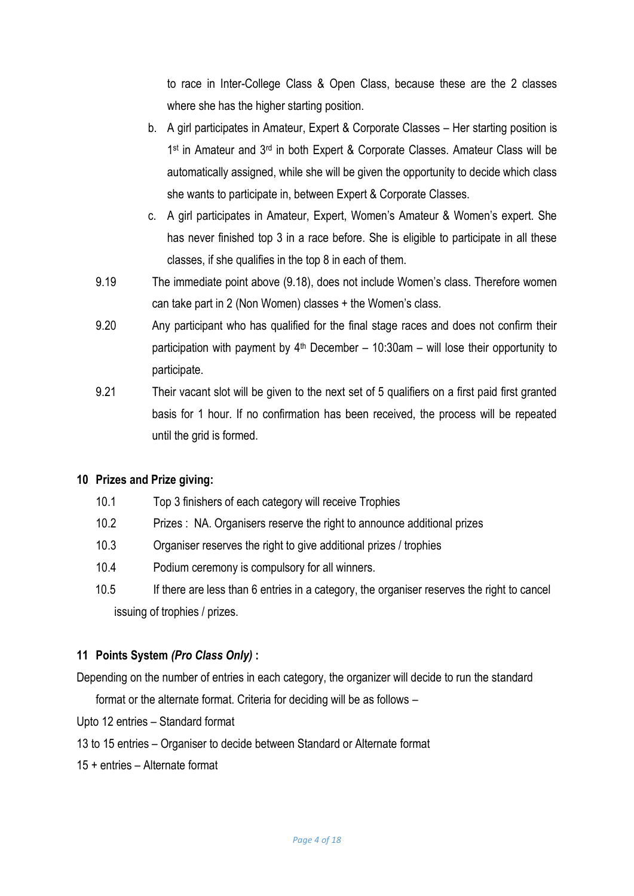to race in Inter-College Class & Open Class, because these are the 2 classes where she has the higher starting position.

- b. A girl participates in Amateur, Expert & Corporate Classes Her starting position is 1<sup>st</sup> in Amateur and 3<sup>rd</sup> in both Expert & Corporate Classes. Amateur Class will be automatically assigned, while she will be given the opportunity to decide which class she wants to participate in, between Expert & Corporate Classes.
- c. A girl participates in Amateur, Expert, Women's Amateur & Women's expert. She has never finished top 3 in a race before. She is eligible to participate in all these classes, if she qualifies in the top 8 in each of them.
- 9.19 The immediate point above (9.18), does not include Women's class. Therefore women can take part in 2 (Non Women) classes + the Women's class.
- 9.20 Any participant who has qualified for the final stage races and does not confirm their participation with payment by  $4<sup>th</sup>$  December – 10:30am – will lose their opportunity to participate.
- 9.21 Their vacant slot will be given to the next set of 5 qualifiers on a first paid first granted basis for 1 hour. If no confirmation has been received, the process will be repeated until the grid is formed.

# **10 Prizes and Prize giving:**

- 10.1 Top 3 finishers of each category will receive Trophies
- 10.2 Prizes : NA. Organisers reserve the right to announce additional prizes
- 10.3 Organiser reserves the right to give additional prizes / trophies
- 10.4 Podium ceremony is compulsory for all winners.
- 10.5 If there are less than 6 entries in a category, the organiser reserves the right to cancel issuing of trophies / prizes.

## **11 Points System** *(Pro Class Only)* **:**

Depending on the number of entries in each category, the organizer will decide to run the standard

format or the alternate format. Criteria for deciding will be as follows –

Upto 12 entries – Standard format

- 13 to 15 entries Organiser to decide between Standard or Alternate format
- 15 + entries Alternate format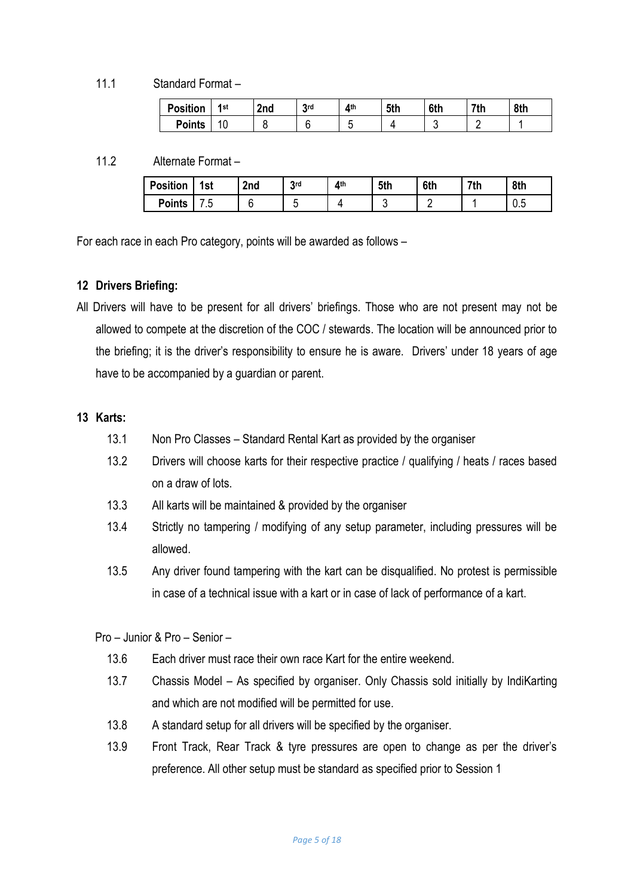11.1 Standard Format –

| <b>Position</b> | 1st | 2nd | <b>2rd</b><br>J | <b>Ath</b> | 5th | 6th | 7th | 8th |
|-----------------|-----|-----|-----------------|------------|-----|-----|-----|-----|
| <b>Points</b>   | ۱U  |     |                 | v.         |     | c   |     |     |

11.2 Alternate Format –

| <b>Position</b> | 1st  | 2 <sub>nd</sub> | <b>2rd</b> | <b>Ath</b> | 5th | 6th | 7th | 8th |
|-----------------|------|-----------------|------------|------------|-----|-----|-----|-----|
| <b>Points</b>   | ن. ا |                 |            |            |     |     |     | v.v |

For each race in each Pro category, points will be awarded as follows –

## **12 Drivers Briefing:**

All Drivers will have to be present for all drivers' briefings. Those who are not present may not be allowed to compete at the discretion of the COC / stewards. The location will be announced prior to the briefing; it is the driver's responsibility to ensure he is aware. Drivers' under 18 years of age have to be accompanied by a guardian or parent.

#### **13 Karts:**

- 13.1 Non Pro Classes Standard Rental Kart as provided by the organiser
- 13.2 Drivers will choose karts for their respective practice / qualifying / heats / races based on a draw of lots.
- 13.3 All karts will be maintained & provided by the organiser
- 13.4 Strictly no tampering / modifying of any setup parameter, including pressures will be allowed.
- 13.5 Any driver found tampering with the kart can be disqualified. No protest is permissible in case of a technical issue with a kart or in case of lack of performance of a kart.

Pro – Junior & Pro – Senior –

- 13.6 Each driver must race their own race Kart for the entire weekend.
- 13.7 Chassis Model As specified by organiser. Only Chassis sold initially by IndiKarting and which are not modified will be permitted for use.
- 13.8 A standard setup for all drivers will be specified by the organiser.
- 13.9 Front Track, Rear Track & tyre pressures are open to change as per the driver's preference. All other setup must be standard as specified prior to Session 1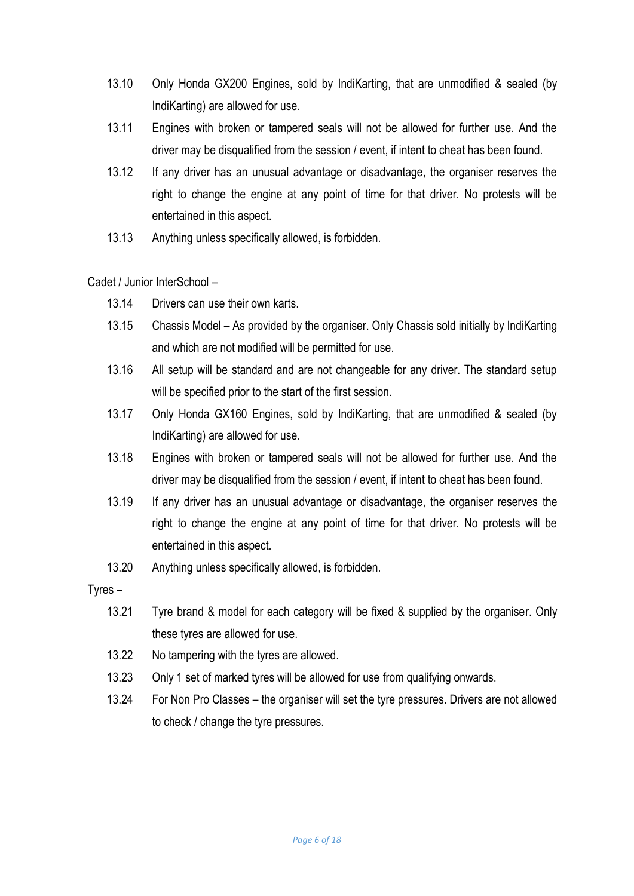- 13.10 Only Honda GX200 Engines, sold by IndiKarting, that are unmodified & sealed (by IndiKarting) are allowed for use.
- 13.11 Engines with broken or tampered seals will not be allowed for further use. And the driver may be disqualified from the session / event, if intent to cheat has been found.
- 13.12 If any driver has an unusual advantage or disadvantage, the organiser reserves the right to change the engine at any point of time for that driver. No protests will be entertained in this aspect.
- 13.13 Anything unless specifically allowed, is forbidden.

Cadet / Junior InterSchool –

- 13.14 Drivers can use their own karts.
- 13.15 Chassis Model As provided by the organiser. Only Chassis sold initially by IndiKarting and which are not modified will be permitted for use.
- 13.16 All setup will be standard and are not changeable for any driver. The standard setup will be specified prior to the start of the first session.
- 13.17 Only Honda GX160 Engines, sold by IndiKarting, that are unmodified & sealed (by IndiKarting) are allowed for use.
- 13.18 Engines with broken or tampered seals will not be allowed for further use. And the driver may be disqualified from the session / event, if intent to cheat has been found.
- 13.19 If any driver has an unusual advantage or disadvantage, the organiser reserves the right to change the engine at any point of time for that driver. No protests will be entertained in this aspect.
- 13.20 Anything unless specifically allowed, is forbidden.
- Tyres
	- 13.21 Tyre brand & model for each category will be fixed & supplied by the organiser. Only these tyres are allowed for use.
	- 13.22 No tampering with the tyres are allowed.
	- 13.23 Only 1 set of marked tyres will be allowed for use from qualifying onwards.
	- 13.24 For Non Pro Classes the organiser will set the tyre pressures. Drivers are not allowed to check / change the tyre pressures.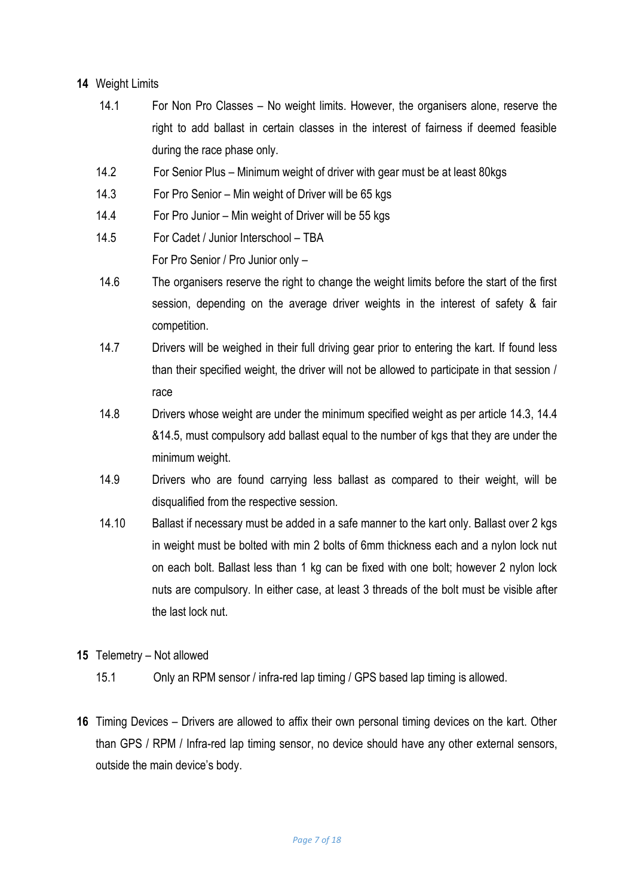# **14** Weight Limits

- 14.1 For Non Pro Classes No weight limits. However, the organisers alone, reserve the right to add ballast in certain classes in the interest of fairness if deemed feasible during the race phase only.
- 14.2 For Senior Plus Minimum weight of driver with gear must be at least 80kgs
- 14.3 For Pro Senior Min weight of Driver will be 65 kgs
- 14.4 For Pro Junior Min weight of Driver will be 55 kgs
- 14.5 For Cadet / Junior Interschool TBA For Pro Senior / Pro Junior only –
- 14.6 The organisers reserve the right to change the weight limits before the start of the first session, depending on the average driver weights in the interest of safety & fair competition.
- 14.7 Drivers will be weighed in their full driving gear prior to entering the kart. If found less than their specified weight, the driver will not be allowed to participate in that session / race
- 14.8 Drivers whose weight are under the minimum specified weight as per article 14.3, 14.4 &14.5, must compulsory add ballast equal to the number of kgs that they are under the minimum weight.
- 14.9 Drivers who are found carrying less ballast as compared to their weight, will be disqualified from the respective session.
- 14.10 Ballast if necessary must be added in a safe manner to the kart only. Ballast over 2 kgs in weight must be bolted with min 2 bolts of 6mm thickness each and a nylon lock nut on each bolt. Ballast less than 1 kg can be fixed with one bolt; however 2 nylon lock nuts are compulsory. In either case, at least 3 threads of the bolt must be visible after the last lock nut.
- **15** Telemetry Not allowed
	- 15.1 Only an RPM sensor / infra-red lap timing / GPS based lap timing is allowed.
- **16** Timing Devices Drivers are allowed to affix their own personal timing devices on the kart. Other than GPS / RPM / Infra-red lap timing sensor, no device should have any other external sensors, outside the main device's body.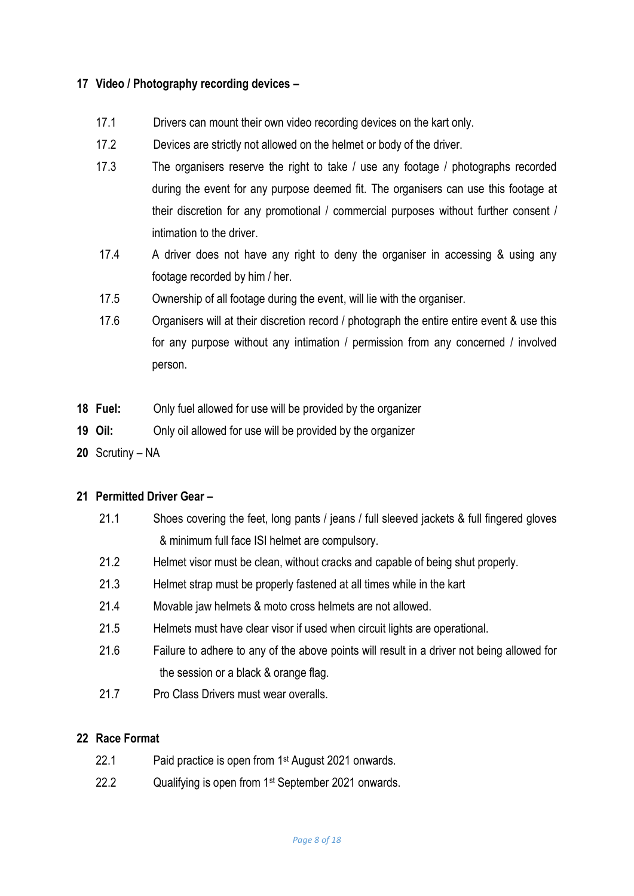# **17 Video / Photography recording devices –**

- 17.1 Drivers can mount their own video recording devices on the kart only.
- 17.2 Devices are strictly not allowed on the helmet or body of the driver.
- 17.3 The organisers reserve the right to take / use any footage / photographs recorded during the event for any purpose deemed fit. The organisers can use this footage at their discretion for any promotional / commercial purposes without further consent / intimation to the driver.
- 17.4 A driver does not have any right to deny the organiser in accessing & using any footage recorded by him / her.
- 17.5 Ownership of all footage during the event, will lie with the organiser.
- 17.6 Organisers will at their discretion record / photograph the entire entire event & use this for any purpose without any intimation / permission from any concerned / involved person.
- **18 Fuel:** Only fuel allowed for use will be provided by the organizer
- **19 Oil:** Only oil allowed for use will be provided by the organizer
- **20** Scrutiny NA

## **21 Permitted Driver Gear –**

- 21.1 Shoes covering the feet, long pants / jeans / full sleeved jackets & full fingered gloves & minimum full face ISI helmet are compulsory.
- 21.2 Helmet visor must be clean, without cracks and capable of being shut properly.
- 21.3 Helmet strap must be properly fastened at all times while in the kart
- 21.4 Movable jaw helmets & moto cross helmets are not allowed.
- 21.5 Helmets must have clear visor if used when circuit lights are operational.
- 21.6 Failure to adhere to any of the above points will result in a driver not being allowed for the session or a black & orange flag.
- 21.7 Pro Class Drivers must wear overalls.

#### **22 Race Format**

- 22.1 Paid practice is open from 1 st August 2021 onwards.
- 22.2 Qualifying is open from 1st September 2021 onwards.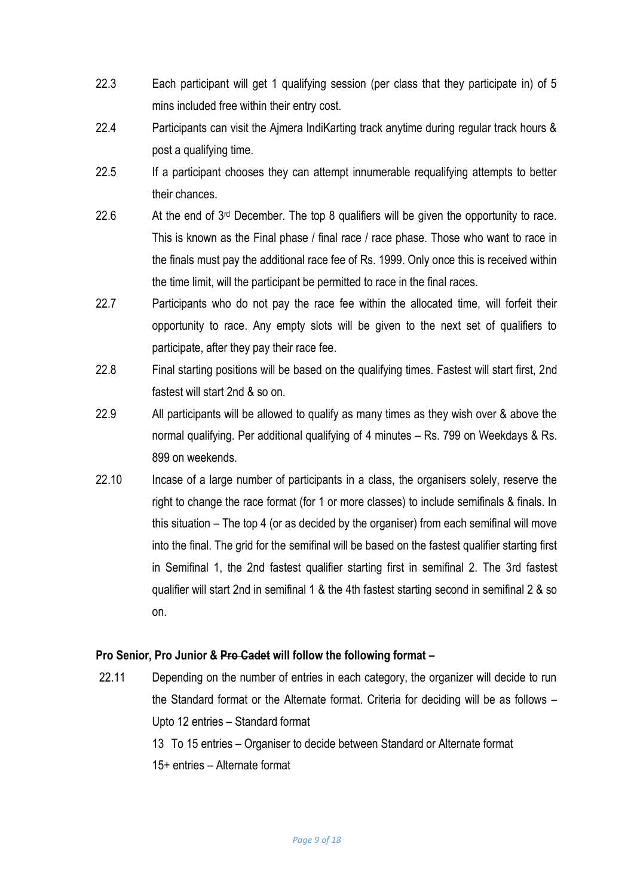- 22.3 Each participant will get 1 qualifying session (per class that they participate in) of 5 mins included free within their entry cost.
- 22.4 Participants can visit the Ajmera IndiKarting track anytime during regular track hours & post a qualifying time.
- 22.5 If a participant chooses they can attempt innumerable requalifying attempts to better their chances.
- 22.6 At the end of  $3<sup>rd</sup>$  December. The top 8 qualifiers will be given the opportunity to race. This is known as the Final phase / final race / race phase. Those who want to race in the finals must pay the additional race fee of Rs. 1999. Only once this is received within the time limit, will the participant be permitted to race in the final races.
- 22.7 Participants who do not pay the race fee within the allocated time, will forfeit their opportunity to race. Any empty slots will be given to the next set of qualifiers to participate, after they pay their race fee.
- 22.8 Final starting positions will be based on the qualifying times. Fastest will start first, 2nd fastest will start 2nd & so on.
- 22.9 All participants will be allowed to qualify as many times as they wish over & above the normal qualifying. Per additional qualifying of 4 minutes – Rs. 799 on Weekdays & Rs. 899 on weekends.
- 22.10 Incase of a large number of participants in a class, the organisers solely, reserve the right to change the race format (for 1 or more classes) to include semifinals & finals. In this situation – The top 4 (or as decided by the organiser) from each semifinal will move into the final. The grid for the semifinal will be based on the fastest qualifier starting first in Semifinal 1, the 2nd fastest qualifier starting first in semifinal 2. The 3rd fastest qualifier will start 2nd in semifinal 1 & the 4th fastest starting second in semifinal 2 & so on.

## **Pro Senior, Pro Junior & Pro Cadet will follow the following format –**

- 22.11 Depending on the number of entries in each category, the organizer will decide to run the Standard format or the Alternate format. Criteria for deciding will be as follows – Upto 12 entries – Standard format
	- 13 To 15 entries Organiser to decide between Standard or Alternate format
	- 15+ entries Alternate format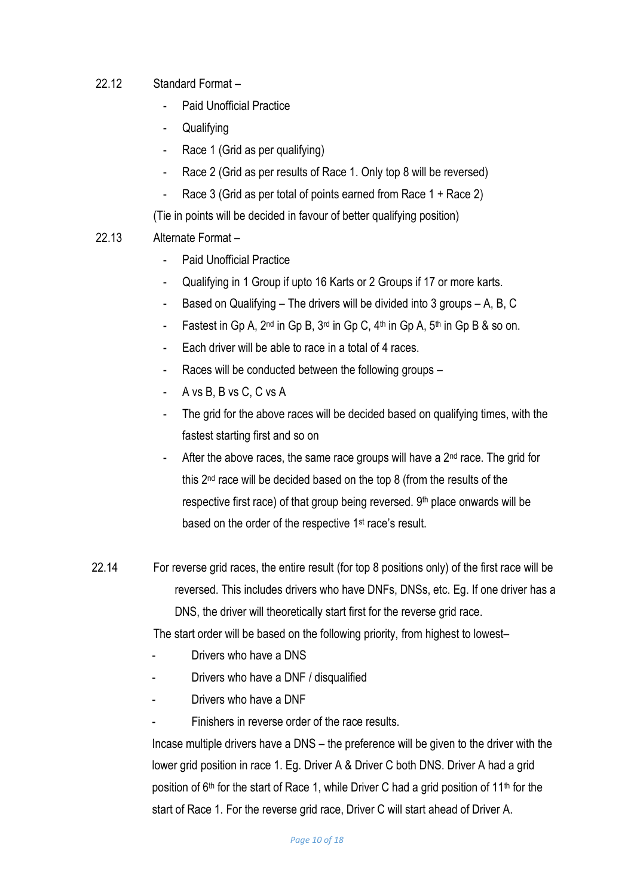# 22.12 Standard Format –

- Paid Unofficial Practice
- Qualifying
- Race 1 (Grid as per qualifying)
- Race 2 (Grid as per results of Race 1. Only top 8 will be reversed)
- Race 3 (Grid as per total of points earned from Race 1 + Race 2)

(Tie in points will be decided in favour of better qualifying position)

# 22.13 Alternate Format –

- Paid Unofficial Practice
- Qualifying in 1 Group if upto 16 Karts or 2 Groups if 17 or more karts.
- Based on Qualifying The drivers will be divided into 3 groups A, B, C
- Fastest in Gp A,  $2^{nd}$  in Gp B,  $3^{rd}$  in Gp C,  $4^{th}$  in Gp A,  $5^{th}$  in Gp B & so on.
- Each driver will be able to race in a total of 4 races.
- Races will be conducted between the following groups -
- A vs B, B vs C, C vs A
- The grid for the above races will be decided based on qualifying times, with the fastest starting first and so on
- After the above races, the same race groups will have a  $2<sup>nd</sup>$  race. The grid for this 2nd race will be decided based on the top 8 (from the results of the respective first race) of that group being reversed. 9<sup>th</sup> place onwards will be based on the order of the respective 1<sup>st</sup> race's result.
- 22.14 For reverse grid races, the entire result (for top 8 positions only) of the first race will be reversed. This includes drivers who have DNFs, DNSs, etc. Eg. If one driver has a DNS, the driver will theoretically start first for the reverse grid race.

The start order will be based on the following priority, from highest to lowest–

- Drivers who have a DNS
- Drivers who have a DNF / disqualified
- Drivers who have a DNF
- Finishers in reverse order of the race results.

Incase multiple drivers have a DNS – the preference will be given to the driver with the lower grid position in race 1. Eg. Driver A & Driver C both DNS. Driver A had a grid position of  $6<sup>th</sup>$  for the start of Race 1, while Driver C had a grid position of 11<sup>th</sup> for the start of Race 1. For the reverse grid race, Driver C will start ahead of Driver A.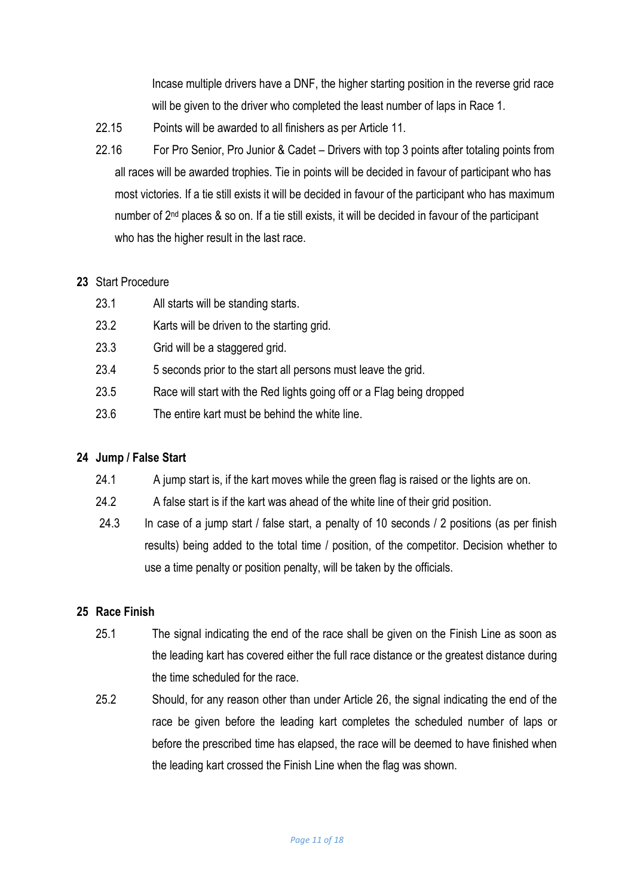Incase multiple drivers have a DNF, the higher starting position in the reverse grid race will be given to the driver who completed the least number of laps in Race 1.

- 22.15 Points will be awarded to all finishers as per Article 11.
- 22.16 For Pro Senior, Pro Junior & Cadet Drivers with top 3 points after totaling points from all races will be awarded trophies. Tie in points will be decided in favour of participant who has most victories. If a tie still exists it will be decided in favour of the participant who has maximum number of 2<sup>nd</sup> places & so on. If a tie still exists, it will be decided in favour of the participant who has the higher result in the last race.

## **23** Start Procedure

- 23.1 All starts will be standing starts.
- 23.2 Karts will be driven to the starting grid.
- 23.3 Grid will be a staggered grid.
- 23.4 5 seconds prior to the start all persons must leave the grid.
- 23.5 Race will start with the Red lights going off or a Flag being dropped
- 23.6 The entire kart must be behind the white line.

## **24 Jump / False Start**

- 24.1 A jump start is, if the kart moves while the green flag is raised or the lights are on.
- 24.2 A false start is if the kart was ahead of the white line of their grid position.
- 24.3 In case of a jump start / false start, a penalty of 10 seconds / 2 positions (as per finish results) being added to the total time / position, of the competitor. Decision whether to use a time penalty or position penalty, will be taken by the officials.

## **25 Race Finish**

- 25.1 The signal indicating the end of the race shall be given on the Finish Line as soon as the leading kart has covered either the full race distance or the greatest distance during the time scheduled for the race.
- 25.2 Should, for any reason other than under Article 26, the signal indicating the end of the race be given before the leading kart completes the scheduled number of laps or before the prescribed time has elapsed, the race will be deemed to have finished when the leading kart crossed the Finish Line when the flag was shown.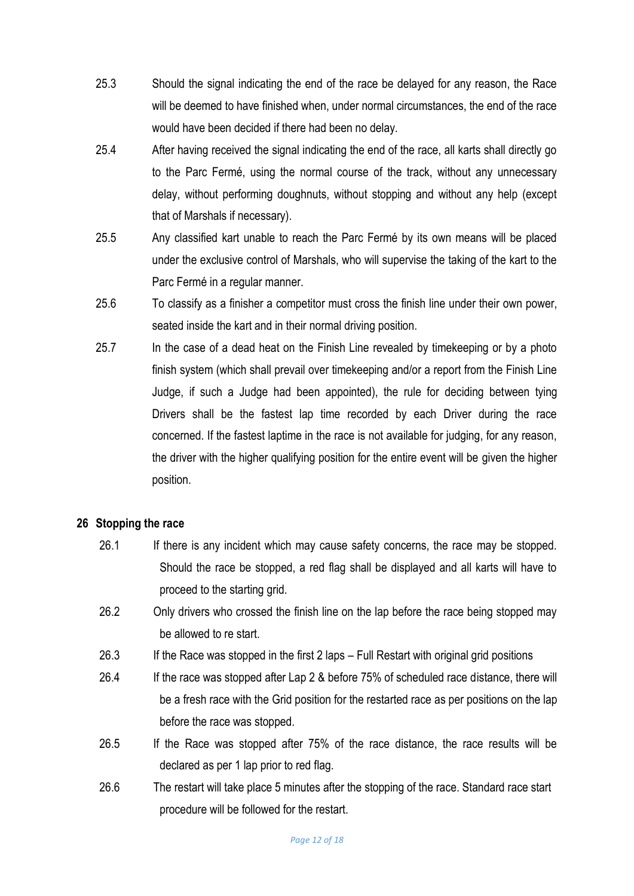- 25.3 Should the signal indicating the end of the race be delayed for any reason, the Race will be deemed to have finished when, under normal circumstances, the end of the race would have been decided if there had been no delay.
- 25.4 After having received the signal indicating the end of the race, all karts shall directly go to the Parc Fermé, using the normal course of the track, without any unnecessary delay, without performing doughnuts, without stopping and without any help (except that of Marshals if necessary).
- 25.5 Any classified kart unable to reach the Parc Fermé by its own means will be placed under the exclusive control of Marshals, who will supervise the taking of the kart to the Parc Fermé in a regular manner.
- 25.6 To classify as a finisher a competitor must cross the finish line under their own power, seated inside the kart and in their normal driving position.
- 25.7 In the case of a dead heat on the Finish Line revealed by timekeeping or by a photo finish system (which shall prevail over timekeeping and/or a report from the Finish Line Judge, if such a Judge had been appointed), the rule for deciding between tying Drivers shall be the fastest lap time recorded by each Driver during the race concerned. If the fastest laptime in the race is not available for judging, for any reason, the driver with the higher qualifying position for the entire event will be given the higher position.

## **26 Stopping the race**

- 26.1 If there is any incident which may cause safety concerns, the race may be stopped. Should the race be stopped, a red flag shall be displayed and all karts will have to proceed to the starting grid.
- 26.2 Only drivers who crossed the finish line on the lap before the race being stopped may be allowed to re start.
- 26.3 If the Race was stopped in the first 2 laps Full Restart with original grid positions
- 26.4 If the race was stopped after Lap 2 & before 75% of scheduled race distance, there will be a fresh race with the Grid position for the restarted race as per positions on the lap before the race was stopped.
- 26.5 If the Race was stopped after 75% of the race distance, the race results will be declared as per 1 lap prior to red flag.
- 26.6 The restart will take place 5 minutes after the stopping of the race. Standard race start procedure will be followed for the restart.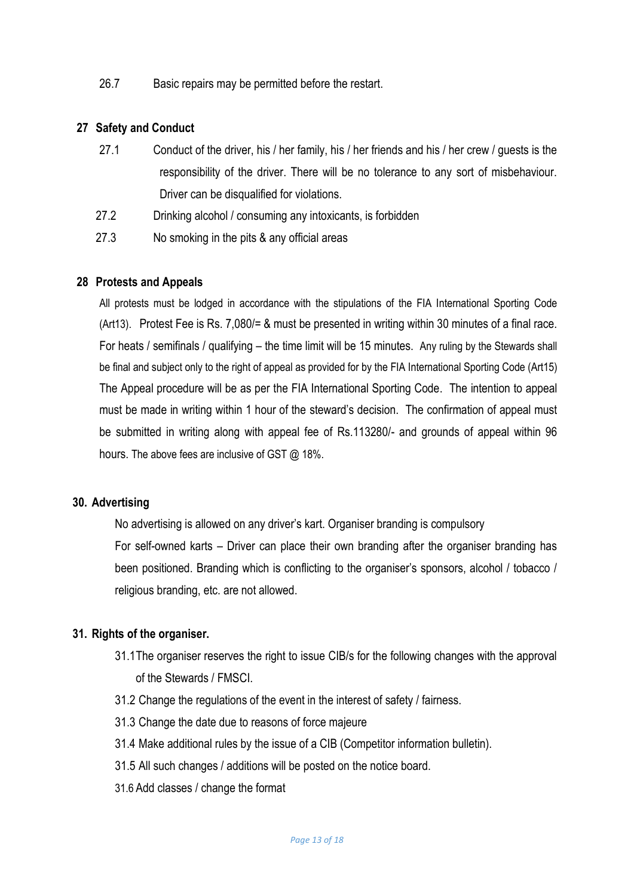26.7 Basic repairs may be permitted before the restart.

#### **27 Safety and Conduct**

- 27.1 Conduct of the driver, his / her family, his / her friends and his / her crew / guests is the responsibility of the driver. There will be no tolerance to any sort of misbehaviour. Driver can be disqualified for violations.
- 27.2 Drinking alcohol / consuming any intoxicants, is forbidden
- 27.3 No smoking in the pits & any official areas

#### **28 Protests and Appeals**

All protests must be lodged in accordance with the stipulations of the FIA International Sporting Code (Art13). Protest Fee is Rs. 7,080/= & must be presented in writing within 30 minutes of a final race. For heats / semifinals / qualifying – the time limit will be 15 minutes. Any ruling by the Stewards shall be final and subject only to the right of appeal as provided for by the FIA International Sporting Code (Art15) The Appeal procedure will be as per the FIA International Sporting Code. The intention to appeal must be made in writing within 1 hour of the steward's decision. The confirmation of appeal must be submitted in writing along with appeal fee of Rs.113280/- and grounds of appeal within 96 hours. The above fees are inclusive of GST @ 18%.

#### **30. Advertising**

No advertising is allowed on any driver's kart. Organiser branding is compulsory

For self-owned karts – Driver can place their own branding after the organiser branding has been positioned. Branding which is conflicting to the organiser's sponsors, alcohol / tobacco / religious branding, etc. are not allowed.

#### **31. Rights of the organiser.**

- 31.1The organiser reserves the right to issue CIB/s for the following changes with the approval of the Stewards / FMSCI.
- 31.2 Change the regulations of the event in the interest of safety / fairness.
- 31.3 Change the date due to reasons of force majeure
- 31.4 Make additional rules by the issue of a CIB (Competitor information bulletin).
- 31.5 All such changes / additions will be posted on the notice board.
- 31.6 Add classes / change the format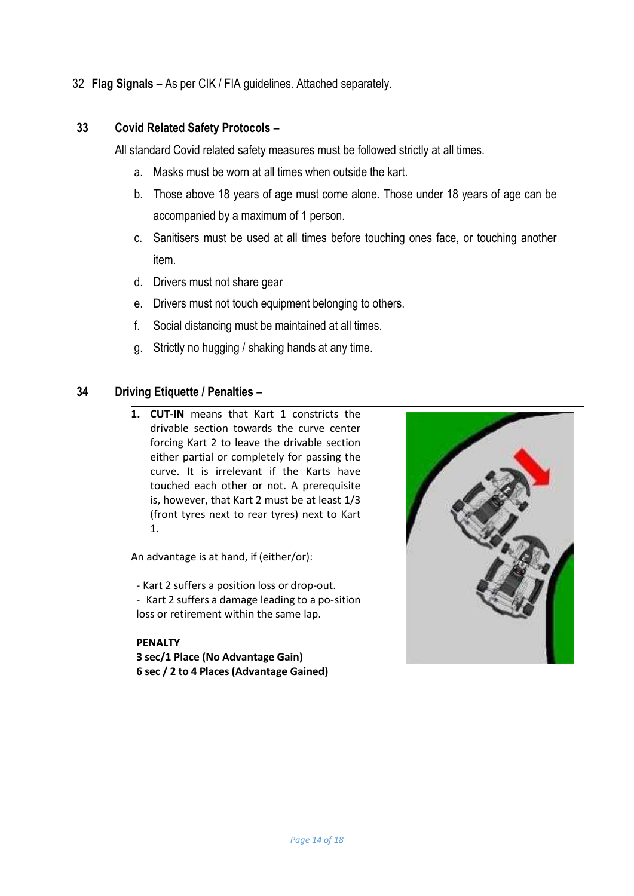32 **Flag Signals** – As per CIK / FIA guidelines. Attached separately.

# **33 Covid Related Safety Protocols –**

All standard Covid related safety measures must be followed strictly at all times.

- a. Masks must be worn at all times when outside the kart.
- b. Those above 18 years of age must come alone. Those under 18 years of age can be accompanied by a maximum of 1 person.
- c. Sanitisers must be used at all times before touching ones face, or touching another item.
- d. Drivers must not share gear
- e. Drivers must not touch equipment belonging to others.
- f. Social distancing must be maintained at all times.
- g. Strictly no hugging / shaking hands at any time.

# **34 Driving Etiquette / Penalties –**

**1. CUT-IN** means that Kart 1 constricts the drivable section towards the curve center forcing Kart 2 to leave the drivable section either partial or completely for passing the curve. It is irrelevant if the Karts have touched each other or not. A prerequisite is, however, that Kart 2 must be at least 1/3 (front tyres next to rear tyres) next to Kart 1.

An advantage is at hand, if (either/or):

- Kart 2 suffers a position loss or drop-out. - Kart 2 suffers a damage leading to a po-sition

loss or retirement within the same lap.

**PENALTY 3 sec/1 Place (No Advantage Gain) 6 sec / 2 to 4 Places (Advantage Gained)**

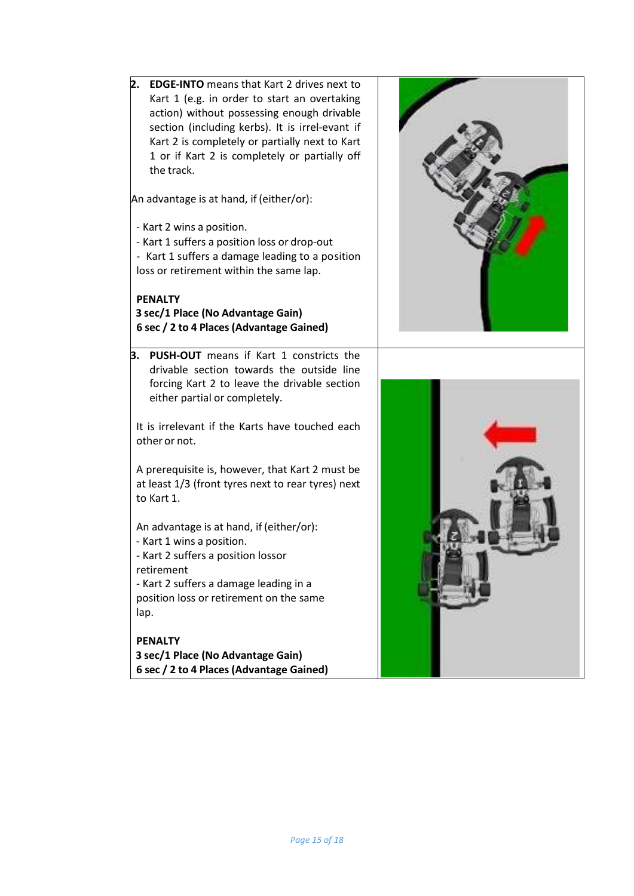**2. EDGE-INTO** means that Kart 2 drives next to Kart 1 (e.g. in order to start an overtaking action) without possessing enough drivable section (including kerbs). It is irrel-evant if Kart 2 is completely or partially next to Kart 1 or if Kart 2 is completely or partially off the track. An advantage is at hand, if (either/or): - Kart 2 wins a position. - Kart 1 suffers a position loss or drop-out - Kart 1 suffers a damage leading to a position loss or retirement within the same lap. **PENALTY 3 sec/1 Place (No Advantage Gain) 6 sec / 2 to 4 Places (Advantage Gained) 3. PUSH-OUT** means if Kart 1 constricts the drivable section towards the outside line forcing Kart 2 to leave the drivable section either partial or completely. It is irrelevant if the Karts have touched each other or not. A prerequisite is, however, that Kart 2 must be at least 1/3 (front tyres next to rear tyres) next to Kart 1. An advantage is at hand, if (either/or): - Kart 1 wins a position. - Kart 2 suffers a position lossor retirement - Kart 2 suffers a damage leading in a position loss or retirement on the same lap. **PENALTY 3 sec/1 Place (No Advantage Gain) 6 sec / 2 to 4 Places (Advantage Gained)**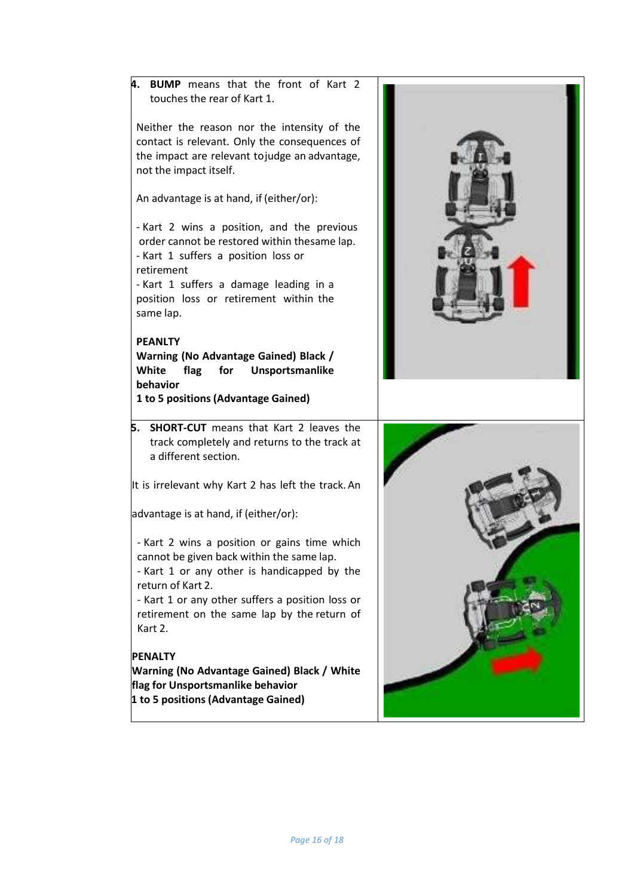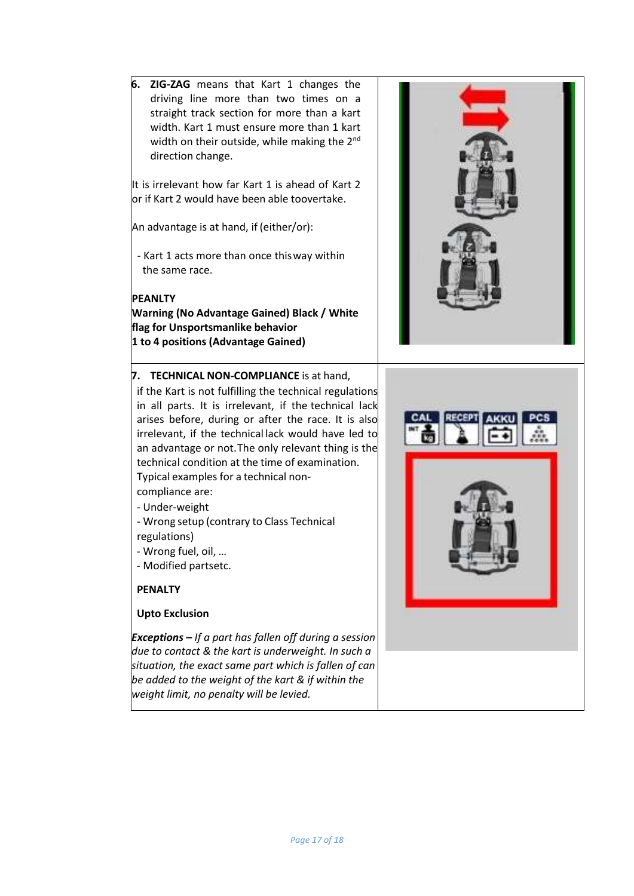**6. ZIG-ZAG** means that Kart 1 changes the driving line more than two times on a straight track section for more than a kart width. Kart 1 must ensure more than 1 kart width on their outside, while making the 2<sup>nd</sup> direction change.

It is irrelevant how far Kart 1 is ahead of Kart 2 or if Kart 2 would have been able toovertake.

An advantage is at hand, if (either/or):

- Kart 1 acts more than once this way within the same race.

#### **PEANLTY**

**Warning (No Advantage Gained) Black / White flag for Unsportsmanlike behavior 1 to 4 positions (Advantage Gained)**

#### **7. TECHNICAL NON-COMPLIANCE** is at hand,

if the Kart is not fulfilling the technical regulations in all parts. It is irrelevant, if the technical lack arises before, during or after the race. It is also irrelevant, if the technical lack would have led to an advantage or not.The only relevant thing is the technical condition at the time of examination. Typical examples for a technical non-

- compliance are: - Under-weight
- Wrong setup (contrary to Class Technical regulations)
- Wrong fuel, oil, …
- Modified partsetc.

#### **PENALTY**

#### **Upto Exclusion**

*Exceptions – If a part has fallen off during a session due to contact & the kart is underweight. In such a situation, the exact same part which is fallen of can be added to the weight of the kart & if within the weight limit, no penalty will be levied.*